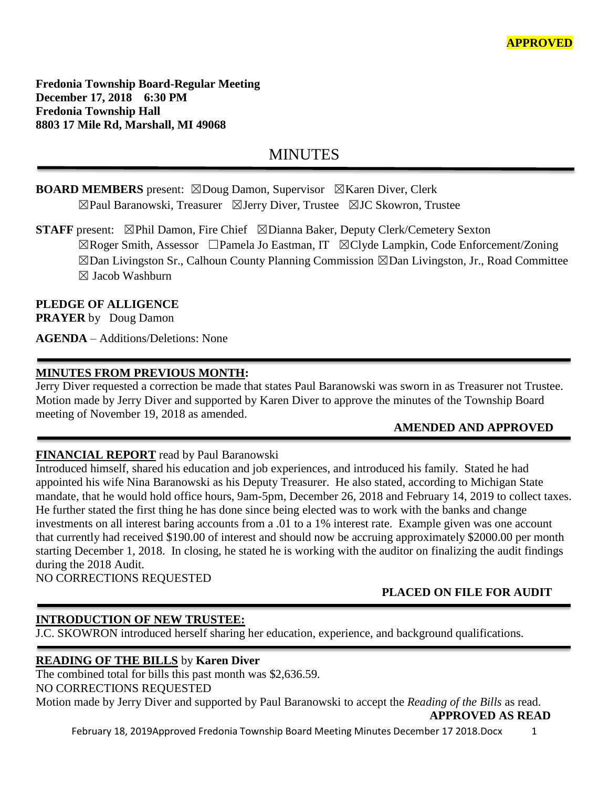**Fredonia Township Board-Regular Meeting December 17, 2018 6:30 PM Fredonia Township Hall 8803 17 Mile Rd, Marshall, MI 49068**

# **MINUTES**

# **BOARD MEMBERS** present: ⊠Doug Damon, Supervisor ⊠Karen Diver, Clerk ☒Paul Baranowski, Treasurer ☒Jerry Diver, Trustee ☒JC Skowron, Trustee

**STAFF** present: ⊠Phil Damon, Fire Chief ⊠Dianna Baker, Deputy Clerk/Cemetery Sexton ☒Roger Smith, Assessor ☐Pamela Jo Eastman, IT ☒Clyde Lampkin, Code Enforcement/Zoning ☒Dan Livingston Sr., Calhoun County Planning Commission ☒Dan Livingston, Jr., Road Committee  $\boxtimes$  Jacob Washburn

#### **PLEDGE OF ALLIGENCE**

**PRAYER** by Doug Damon

**AGENDA** – Additions/Deletions: None

#### **MINUTES FROM PREVIOUS MONTH:**

Jerry Diver requested a correction be made that states Paul Baranowski was sworn in as Treasurer not Trustee. Motion made by Jerry Diver and supported by Karen Diver to approve the minutes of the Township Board meeting of November 19, 2018 as amended.

## **AMENDED AND APPROVED**

### **FINANCIAL REPORT** read by Paul Baranowski

Introduced himself, shared his education and job experiences, and introduced his family. Stated he had appointed his wife Nina Baranowski as his Deputy Treasurer. He also stated, according to Michigan State mandate, that he would hold office hours, 9am-5pm, December 26, 2018 and February 14, 2019 to collect taxes. He further stated the first thing he has done since being elected was to work with the banks and change investments on all interest baring accounts from a .01 to a 1% interest rate. Example given was one account that currently had received \$190.00 of interest and should now be accruing approximately \$2000.00 per month starting December 1, 2018. In closing, he stated he is working with the auditor on finalizing the audit findings during the 2018 Audit.

NO CORRECTIONS REQUESTED

## **PLACED ON FILE FOR AUDIT**

### **INTRODUCTION OF NEW TRUSTEE:**

J.C. SKOWRON introduced herself sharing her education, experience, and background qualifications.

### **READING OF THE BILLS** by **Karen Diver**

The combined total for bills this past month was \$2,636.59. NO CORRECTIONS REQUESTED Motion made by Jerry Diver and supported by Paul Baranowski to accept the *Reading of the Bills* as read.

 **APPROVED AS READ**

February 18, 2019Approved Fredonia Township Board Meeting Minutes December 17 2018.Docx 1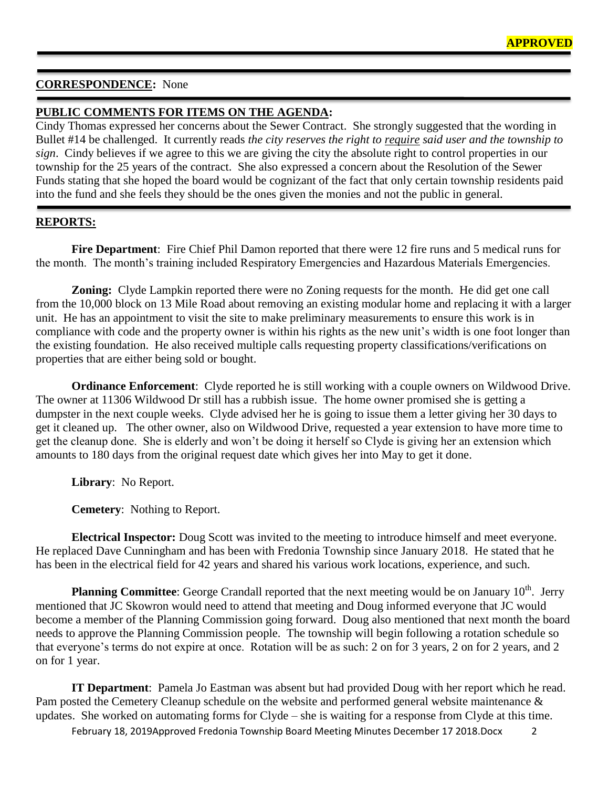## **CORRESPONDENCE:** None

## **PUBLIC COMMENTS FOR ITEMS ON THE AGENDA:**

Cindy Thomas expressed her concerns about the Sewer Contract. She strongly suggested that the wording in Bullet #14 be challenged. It currently reads *the city reserves the right to require said user and the township to sign*. Cindy believes if we agree to this we are giving the city the absolute right to control properties in our township for the 25 years of the contract. She also expressed a concern about the Resolution of the Sewer Funds stating that she hoped the board would be cognizant of the fact that only certain township residents paid into the fund and she feels they should be the ones given the monies and not the public in general.

### **REPORTS:**

**Fire Department**: Fire Chief Phil Damon reported that there were 12 fire runs and 5 medical runs for the month. The month's training included Respiratory Emergencies and Hazardous Materials Emergencies.

**Zoning:** Clyde Lampkin reported there were no Zoning requests for the month. He did get one call from the 10,000 block on 13 Mile Road about removing an existing modular home and replacing it with a larger unit. He has an appointment to visit the site to make preliminary measurements to ensure this work is in compliance with code and the property owner is within his rights as the new unit's width is one foot longer than the existing foundation. He also received multiple calls requesting property classifications/verifications on properties that are either being sold or bought.

**Ordinance Enforcement**: Clyde reported he is still working with a couple owners on Wildwood Drive. The owner at 11306 Wildwood Dr still has a rubbish issue. The home owner promised she is getting a dumpster in the next couple weeks. Clyde advised her he is going to issue them a letter giving her 30 days to get it cleaned up. The other owner, also on Wildwood Drive, requested a year extension to have more time to get the cleanup done. She is elderly and won't be doing it herself so Clyde is giving her an extension which amounts to 180 days from the original request date which gives her into May to get it done.

**Library**: No Report.

**Cemetery**: Nothing to Report.

**Electrical Inspector:** Doug Scott was invited to the meeting to introduce himself and meet everyone. He replaced Dave Cunningham and has been with Fredonia Township since January 2018. He stated that he has been in the electrical field for 42 years and shared his various work locations, experience, and such.

**Planning Committee**: George Crandall reported that the next meeting would be on January 10<sup>th</sup>. Jerry mentioned that JC Skowron would need to attend that meeting and Doug informed everyone that JC would become a member of the Planning Commission going forward. Doug also mentioned that next month the board needs to approve the Planning Commission people. The township will begin following a rotation schedule so that everyone's terms do not expire at once. Rotation will be as such: 2 on for 3 years, 2 on for 2 years, and 2 on for 1 year.

**IT Department**: Pamela Jo Eastman was absent but had provided Doug with her report which he read. Pam posted the Cemetery Cleanup schedule on the website and performed general website maintenance & updates. She worked on automating forms for Clyde – she is waiting for a response from Clyde at this time.

February 18, 2019Approved Fredonia Township Board Meeting Minutes December 17 2018.Docx 2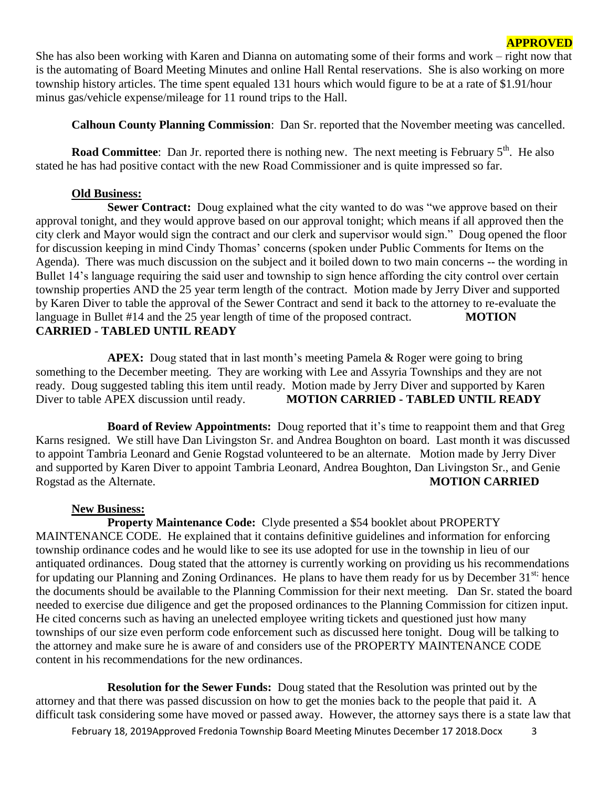She has also been working with Karen and Dianna on automating some of their forms and work – right now that is the automating of Board Meeting Minutes and online Hall Rental reservations. She is also working on more township history articles. The time spent equaled 131 hours which would figure to be at a rate of \$1.91/hour minus gas/vehicle expense/mileage for 11 round trips to the Hall.

**Calhoun County Planning Commission**: Dan Sr. reported that the November meeting was cancelled.

**Road Committee**: Dan Jr. reported there is nothing new. The next meeting is February 5<sup>th</sup>. He also stated he has had positive contact with the new Road Commissioner and is quite impressed so far.

#### **Old Business:**

**Sewer Contract:** Doug explained what the city wanted to do was "we approve based on their approval tonight, and they would approve based on our approval tonight; which means if all approved then the city clerk and Mayor would sign the contract and our clerk and supervisor would sign." Doug opened the floor for discussion keeping in mind Cindy Thomas' concerns (spoken under Public Comments for Items on the Agenda). There was much discussion on the subject and it boiled down to two main concerns -- the wording in Bullet 14's language requiring the said user and township to sign hence affording the city control over certain township properties AND the 25 year term length of the contract. Motion made by Jerry Diver and supported by Karen Diver to table the approval of the Sewer Contract and send it back to the attorney to re-evaluate the language in Bullet #14 and the 25 year length of time of the proposed contract. **MOTION CARRIED - TABLED UNTIL READY**

**APEX:** Doug stated that in last month's meeting Pamela & Roger were going to bring something to the December meeting. They are working with Lee and Assyria Townships and they are not ready. Doug suggested tabling this item until ready. Motion made by Jerry Diver and supported by Karen Diver to table APEX discussion until ready. **MOTION CARRIED - TABLED UNTIL READY**

**Board of Review Appointments:** Doug reported that it's time to reappoint them and that Greg Karns resigned. We still have Dan Livingston Sr. and Andrea Boughton on board. Last month it was discussed to appoint Tambria Leonard and Genie Rogstad volunteered to be an alternate. Motion made by Jerry Diver and supported by Karen Diver to appoint Tambria Leonard, Andrea Boughton, Dan Livingston Sr., and Genie Rogstad as the Alternate. **MOTION CARRIED**

#### **New Business:**

**Property Maintenance Code:** Clyde presented a \$54 booklet about PROPERTY MAINTENANCE CODE. He explained that it contains definitive guidelines and information for enforcing township ordinance codes and he would like to see its use adopted for use in the township in lieu of our antiquated ordinances. Doug stated that the attorney is currently working on providing us his recommendations for updating our Planning and Zoning Ordinances. He plans to have them ready for us by December 31<sup>st;</sup> hence the documents should be available to the Planning Commission for their next meeting. Dan Sr. stated the board needed to exercise due diligence and get the proposed ordinances to the Planning Commission for citizen input. He cited concerns such as having an unelected employee writing tickets and questioned just how many townships of our size even perform code enforcement such as discussed here tonight. Doug will be talking to the attorney and make sure he is aware of and considers use of the PROPERTY MAINTENANCE CODE content in his recommendations for the new ordinances.

**Resolution for the Sewer Funds:** Doug stated that the Resolution was printed out by the attorney and that there was passed discussion on how to get the monies back to the people that paid it. A difficult task considering some have moved or passed away. However, the attorney says there is a state law that

February 18, 2019Approved Fredonia Township Board Meeting Minutes December 17 2018.Docx 3